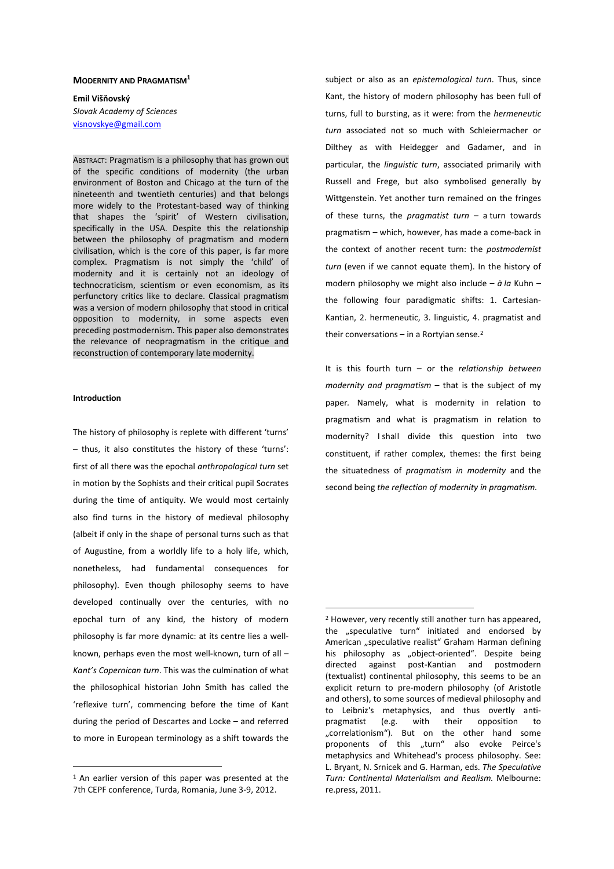## **MODERNITY AND PRAGMATISM<sup>1</sup>**

**Emil Višňovský**  *Slovak Academy of Sciences*  visnovskye@gmail.com

ABSTRACT: Pragmatism is a philosophy that has grown out of the specific conditions of modernity (the urban environment of Boston and Chicago at the turn of the nineteenth and twentieth centuries) and that belongs more widely to the Protestant-based way of thinking that shapes the 'spirit' of Western civilisation, specifically in the USA. Despite this the relationship between the philosophy of pragmatism and modern civilisation, which is the core of this paper, is far more complex. Pragmatism is not simply the 'child' of modernity and it is certainly not an ideology of technocraticism, scientism or even economism, as its perfunctory critics like to declare. Classical pragmatism was a version of modern philosophy that stood in critical opposition to modernity, in some aspects even preceding postmodernism. This paper also demonstrates the relevance of neopragmatism in the critique and reconstruction of contemporary late modernity.

## **Introduction**

 $\overline{a}$ 

The history of philosophy is replete with different 'turns' – thus, it also constitutes the history of these 'turns': first of all there was the epochal *anthropological turn* set in motion by the Sophists and their critical pupil Socrates during the time of antiquity. We would most certainly also find turns in the history of medieval philosophy (albeit if only in the shape of personal turns such as that of Augustine, from a worldly life to a holy life, which, nonetheless, had fundamental consequences for philosophy). Even though philosophy seems to have developed continually over the centuries, with no epochal turn of any kind, the history of modern philosophy is far more dynamic: at its centre lies a wellknown, perhaps even the most well-known, turn of all – *Kant's Copernican turn*. This was the culmination of what the philosophical historian John Smith has called the 'reflexive turn', commencing before the time of Kant during the period of Descartes and Locke – and referred to more in European terminology as a shift towards the

subject or also as an *epistemological turn*. Thus, since Kant, the history of modern philosophy has been full of turns, full to bursting, as it were: from the *hermeneutic turn* associated not so much with Schleiermacher or Dilthey as with Heidegger and Gadamer, and in particular, the *linguistic turn*, associated primarily with Russell and Frege, but also symbolised generally by Wittgenstein. Yet another turn remained on the fringes of these turns, the *pragmatist turn* – a turn towards pragmatism – which, however, has made a come-back in the context of another recent turn: the *postmodernist turn* (even if we cannot equate them). In the history of modern philosophy we might also include – *à la* Kuhn – the following four paradigmatic shifts: 1. Cartesian-Kantian, 2. hermeneutic, 3. linguistic, 4. pragmatist and their conversations  $-$  in a Rortvian sense.<sup>2</sup>

It is this fourth turn – or the *relationship between modernity and pragmatism* – that is the subject of my paper*.* Namely, what is modernity in relation to pragmatism and what is pragmatism in relation to modernity? I shall divide this question into two constituent, if rather complex, themes: the first being the situatedness of *pragmatism in modernity* and the second being *the reflection of modernity in pragmatism.* 

<sup>1</sup> An earlier version of this paper was presented at the 7th CEPF conference, Turda, Romania, June 3-9, 2012.

<sup>2</sup> However, very recently still another turn has appeared, the "speculative turn" initiated and endorsed by American "speculative realist" Graham Harman defining his philosophy as "object-oriented". Despite being directed against post-Kantian and postmodern (textualist) continental philosophy, this seems to be an explicit return to pre-modern philosophy (of Aristotle and others), to some sources of medieval philosophy and to Leibniz's metaphysics, and thus overtly antipragmatist (e.g. with their opposition to "correlationism"). But on the other hand some proponents of this "turn" also evoke Peirce's metaphysics and Whitehead's process philosophy. See: L. Bryant, N. Srnicek and G. Harman, eds. *The Speculative Turn: Continental Materialism and Realism.* Melbourne: re.press, 2011.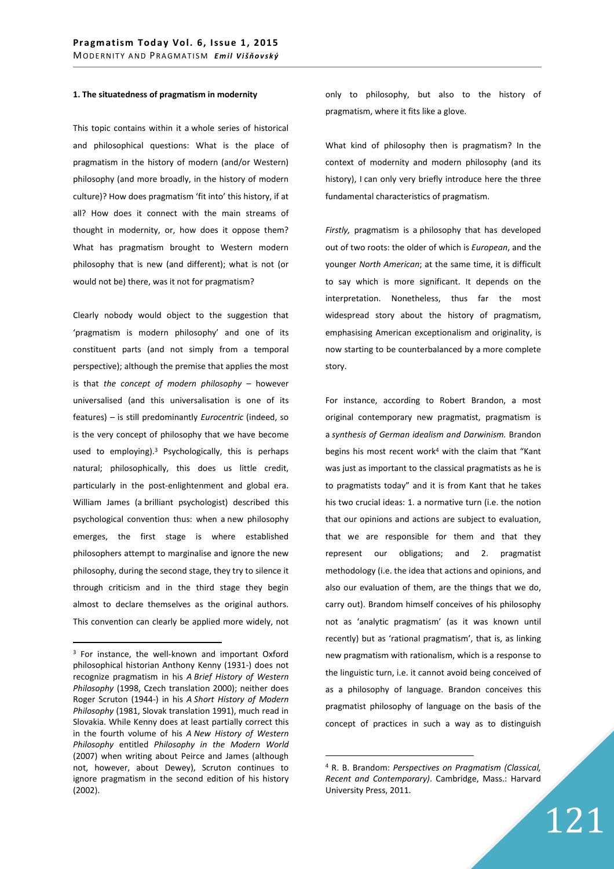## **1. The situatedness of pragmatism in modernity**

This topic contains within it a whole series of historical and philosophical questions: What is the place of pragmatism in the history of modern (and/or Western) philosophy (and more broadly, in the history of modern culture)? How does pragmatism 'fit into' this history, if at all? How does it connect with the main streams of thought in modernity, or, how does it oppose them? What has pragmatism brought to Western modern philosophy that is new (and different); what is not (or would not be) there, was it not for pragmatism?

Clearly nobody would object to the suggestion that 'pragmatism is modern philosophy' and one of its constituent parts (and not simply from a temporal perspective); although the premise that applies the most is that *the concept of modern philosophy* – however universalised (and this universalisation is one of its features) – is still predominantly *Eurocentric* (indeed, so is the very concept of philosophy that we have become used to employing).<sup>3</sup> Psychologically, this is perhaps natural; philosophically, this does us little credit, particularly in the post-enlightenment and global era. William James (a brilliant psychologist) described this psychological convention thus: when a new philosophy emerges, the first stage is where established philosophers attempt to marginalise and ignore the new philosophy, during the second stage, they try to silence it through criticism and in the third stage they begin almost to declare themselves as the original authors. This convention can clearly be applied more widely, not

 $\overline{a}$ 

only to philosophy, but also to the history of pragmatism, where it fits like a glove.

What kind of philosophy then is pragmatism? In the context of modernity and modern philosophy (and its history), I can only very briefly introduce here the three fundamental characteristics of pragmatism.

*Firstly,* pragmatism is a philosophy that has developed out of two roots: the older of which is *European*, and the younger *North American*; at the same time, it is difficult to say which is more significant. It depends on the interpretation. Nonetheless, thus far the most widespread story about the history of pragmatism, emphasising American exceptionalism and originality, is now starting to be counterbalanced by a more complete story.

For instance, according to Robert Brandon, a most original contemporary new pragmatist, pragmatism is a *synthesis of German idealism and Darwinism.* Brandon begins his most recent work<sup>4</sup> with the claim that "Kant was just as important to the classical pragmatists as he is to pragmatists today" and it is from Kant that he takes his two crucial ideas: 1. a normative turn (i.e. the notion that our opinions and actions are subject to evaluation, that we are responsible for them and that they represent our obligations; and 2. pragmatist methodology (i.e. the idea that actions and opinions, and also our evaluation of them, are the things that we do, carry out). Brandom himself conceives of his philosophy not as 'analytic pragmatism' (as it was known until recently) but as 'rational pragmatism', that is, as linking new pragmatism with rationalism, which is a response to the linguistic turn, i.e. it cannot avoid being conceived of as a philosophy of language. Brandon conceives this pragmatist philosophy of language on the basis of the concept of practices in such a way as to distinguish

<sup>&</sup>lt;sup>3</sup> For instance, the well-known and important Oxford philosophical historian Anthony Kenny (1931-) does not recognize pragmatism in his *A Brief History of Western Philosophy* (1998, Czech translation 2000); neither does Roger Scruton (1944-) in his *A Short History of Modern Philosophy* (1981, Slovak translation 1991), much read in Slovakia. While Kenny does at least partially correct this in the fourth volume of his *A New History of Western Philosophy* entitled *Philosophy in the Modern World*  (2007) when writing about Peirce and James (although not, however, about Dewey), Scruton continues to ignore pragmatism in the second edition of his history (2002).

<sup>4</sup> R. B. Brandom: *Perspectives on Pragmatism (Classical, Recent and Contemporary)*. Cambridge, Mass.: Harvard University Press, 2011.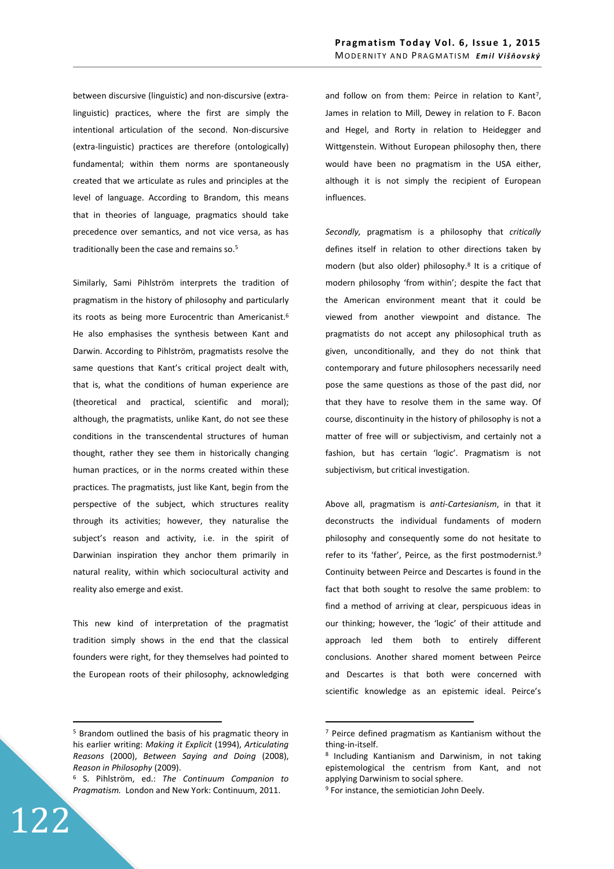between discursive (linguistic) and non-discursive (extralinguistic) practices, where the first are simply the intentional articulation of the second. Non-discursive (extra-linguistic) practices are therefore (ontologically) fundamental; within them norms are spontaneously created that we articulate as rules and principles at the level of language. According to Brandom, this means that in theories of language, pragmatics should take precedence over semantics, and not vice versa, as has traditionally been the case and remains so.<sup>5</sup>

Similarly, Sami Pihlström interprets the tradition of pragmatism in the history of philosophy and particularly its roots as being more Eurocentric than Americanist.<sup>6</sup> He also emphasises the synthesis between Kant and Darwin. According to Pihlström, pragmatists resolve the same questions that Kant's critical project dealt with, that is, what the conditions of human experience are (theoretical and practical, scientific and moral); although, the pragmatists, unlike Kant, do not see these conditions in the transcendental structures of human thought, rather they see them in historically changing human practices, or in the norms created within these practices. The pragmatists, just like Kant, begin from the perspective of the subject, which structures reality through its activities; however, they naturalise the subject's reason and activity, i.e. in the spirit of Darwinian inspiration they anchor them primarily in natural reality, within which sociocultural activity and reality also emerge and exist.

This new kind of interpretation of the pragmatist tradition simply shows in the end that the classical founders were right, for they themselves had pointed to the European roots of their philosophy, acknowledging

and follow on from them: Peirce in relation to Kant<sup>7</sup>, James in relation to Mill, Dewey in relation to F. Bacon and Hegel, and Rorty in relation to Heidegger and Wittgenstein. Without European philosophy then, there would have been no pragmatism in the USA either, although it is not simply the recipient of European influences.

*Secondly,* pragmatism is a philosophy that *critically* defines itself in relation to other directions taken by modern (but also older) philosophy.<sup>8</sup> It is a critique of modern philosophy 'from within'; despite the fact that the American environment meant that it could be viewed from another viewpoint and distance. The pragmatists do not accept any philosophical truth as given, unconditionally, and they do not think that contemporary and future philosophers necessarily need pose the same questions as those of the past did, nor that they have to resolve them in the same way. Of course, discontinuity in the history of philosophy is not a matter of free will or subjectivism, and certainly not a fashion, but has certain 'logic'. Pragmatism is not subjectivism, but critical investigation.

Above all, pragmatism is *anti-Cartesianism*, in that it deconstructs the individual fundaments of modern philosophy and consequently some do not hesitate to refer to its 'father', Peirce, as the first postmodernist.<sup>9</sup> Continuity between Peirce and Descartes is found in the fact that both sought to resolve the same problem: to find a method of arriving at clear, perspicuous ideas in our thinking; however, the 'logic' of their attitude and approach led them both to entirely different conclusions. Another shared moment between Peirce and Descartes is that both were concerned with scientific knowledge as an epistemic ideal. Peirce's

122

 $\overline{a}$ 

<sup>5</sup> Brandom outlined the basis of his pragmatic theory in his earlier writing: *Making it Explicit* (1994), *Articulating Reasons* (2000), *Between Saying and Doing* (2008), *Reason in Philosophy* (2009).

<sup>6</sup> S. Pihlström, ed.: *The Continuum Companion to Pragmatism.* London and New York: Continuum, 2011.

<sup>7</sup> Peirce defined pragmatism as Kantianism without the thing-in-itself.

<sup>8</sup> Including Kantianism and Darwinism, in not taking epistemological the centrism from Kant, and not applying Darwinism to social sphere.

<sup>&</sup>lt;sup>9</sup> For instance, the semiotician John Deely.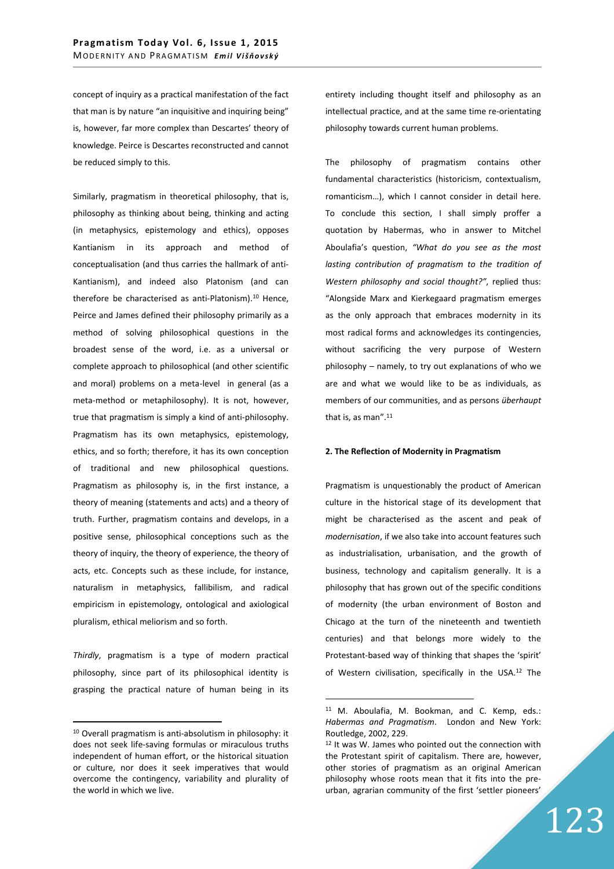concept of inquiry as a practical manifestation of the fact that man is by nature "an inquisitive and inquiring being" is, however, far more complex than Descartes' theory of knowledge. Peirce is Descartes reconstructed and cannot be reduced simply to this.

Similarly, pragmatism in theoretical philosophy, that is, philosophy as thinking about being, thinking and acting (in metaphysics, epistemology and ethics), opposes Kantianism in its approach and method of conceptualisation (and thus carries the hallmark of anti-Kantianism), and indeed also Platonism (and can therefore be characterised as anti-Platonism).<sup>10</sup> Hence, Peirce and James defined their philosophy primarily as a method of solving philosophical questions in the broadest sense of the word, i.e. as a universal or complete approach to philosophical (and other scientific and moral) problems on a meta-level in general (as a meta-method or metaphilosophy). It is not, however, true that pragmatism is simply a kind of anti-philosophy. Pragmatism has its own metaphysics, epistemology, ethics, and so forth; therefore, it has its own conception of traditional and new philosophical questions. Pragmatism as philosophy is, in the first instance, a theory of meaning (statements and acts) and a theory of truth. Further, pragmatism contains and develops, in a positive sense, philosophical conceptions such as the theory of inquiry, the theory of experience, the theory of acts, etc. Concepts such as these include, for instance, naturalism in metaphysics, fallibilism, and radical empiricism in epistemology, ontological and axiological pluralism, ethical meliorism and so forth.

*Thirdly*, pragmatism is a type of modern practical philosophy, since part of its philosophical identity is grasping the practical nature of human being in its

 $\overline{a}$ 

entirety including thought itself and philosophy as an intellectual practice, and at the same time re-orientating philosophy towards current human problems.

The philosophy of pragmatism contains other fundamental characteristics (historicism, contextualism, romanticism…), which I cannot consider in detail here. To conclude this section, I shall simply proffer a quotation by Habermas, who in answer to Mitchel Aboulafia's question, *"What do you see as the most lasting contribution of pragmatism to the tradition of Western philosophy and social thought?"*, replied thus: "Alongside Marx and Kierkegaard pragmatism emerges as the only approach that embraces modernity in its most radical forms and acknowledges its contingencies, without sacrificing the very purpose of Western philosophy – namely, to try out explanations of who we are and what we would like to be as individuals, as members of our communities, and as persons *überhaupt* that is, as man".<sup>11</sup>

## **2. The Reflection of Modernity in Pragmatism**

Pragmatism is unquestionably the product of American culture in the historical stage of its development that might be characterised as the ascent and peak of *modernisation*, if we also take into account features such as industrialisation, urbanisation, and the growth of business, technology and capitalism generally. It is a philosophy that has grown out of the specific conditions of modernity (the urban environment of Boston and Chicago at the turn of the nineteenth and twentieth centuries) and that belongs more widely to the Protestant-based way of thinking that shapes the 'spirit' of Western civilisation, specifically in the USA.<sup>12</sup> The

<sup>10</sup> Overall pragmatism is anti-absolutism in philosophy: it does not seek life-saving formulas or miraculous truths independent of human effort, or the historical situation or culture, nor does it seek imperatives that would overcome the contingency, variability and plurality of the world in which we live.

<sup>11</sup> M. Aboulafia, M. Bookman, and C. Kemp, eds.: *Habermas and Pragmatism*. London and New York: Routledge, 2002, 229.

<sup>&</sup>lt;sup>12</sup> It was W. James who pointed out the connection with the Protestant spirit of capitalism. There are, however, other stories of pragmatism as an original American philosophy whose roots mean that it fits into the preurban, agrarian community of the first 'settler pioneers'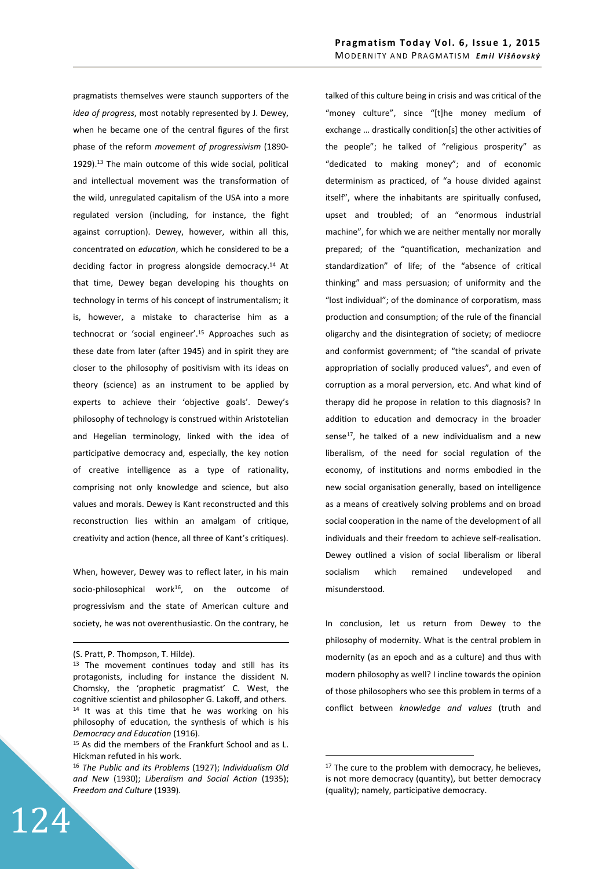pragmatists themselves were staunch supporters of the *idea of progress*, most notably represented by J. Dewey, when he became one of the central figures of the first phase of the reform *movement of progressivism* (1890- 1929).<sup>13</sup> The main outcome of this wide social, political and intellectual movement was the transformation of the wild, unregulated capitalism of the USA into a more regulated version (including, for instance, the fight against corruption). Dewey, however, within all this, concentrated on *education*, which he considered to be a deciding factor in progress alongside democracy.<sup>14</sup> At that time, Dewey began developing his thoughts on technology in terms of his concept of instrumentalism; it is, however, a mistake to characterise him as a technocrat or 'social engineer'.<sup>15</sup> Approaches such as these date from later (after 1945) and in spirit they are closer to the philosophy of positivism with its ideas on theory (science) as an instrument to be applied by experts to achieve their 'objective goals'. Dewey's philosophy of technology is construed within Aristotelian and Hegelian terminology, linked with the idea of participative democracy and, especially, the key notion of creative intelligence as a type of rationality, comprising not only knowledge and science, but also values and morals. Dewey is Kant reconstructed and this reconstruction lies within an amalgam of critique, creativity and action (hence, all three of Kant's critiques).

When, however, Dewey was to reflect later, in his main socio-philosophical work<sup>16</sup>, on the outcome of progressivism and the state of American culture and society, he was not overenthusiastic. On the contrary, he

-

124

talked of this culture being in crisis and was critical of the "money culture", since "[t]he money medium of exchange … drastically condition[s] the other activities of the people"; he talked of "religious prosperity" as "dedicated to making money"; and of economic determinism as practiced, of "a house divided against itself", where the inhabitants are spiritually confused, upset and troubled; of an "enormous industrial machine", for which we are neither mentally nor morally prepared; of the "quantification, mechanization and standardization" of life; of the "absence of critical thinking" and mass persuasion; of uniformity and the "lost individual"; of the dominance of corporatism, mass production and consumption; of the rule of the financial oligarchy and the disintegration of society; of mediocre and conformist government; of "the scandal of private appropriation of socially produced values", and even of corruption as a moral perversion, etc. And what kind of therapy did he propose in relation to this diagnosis? In addition to education and democracy in the broader sense $17$ , he talked of a new individualism and a new liberalism, of the need for social regulation of the economy, of institutions and norms embodied in the new social organisation generally, based on intelligence as a means of creatively solving problems and on broad social cooperation in the name of the development of all individuals and their freedom to achieve self-realisation. Dewey outlined a vision of social liberalism or liberal socialism which remained undeveloped and misunderstood.

In conclusion, let us return from Dewey to the philosophy of modernity. What is the central problem in modernity (as an epoch and as a culture) and thus with modern philosophy as well? I incline towards the opinion of those philosophers who see this problem in terms of a conflict between *knowledge and values* (truth and

<sup>(</sup>S. Pratt, P. Thompson, T. Hilde).

<sup>&</sup>lt;sup>13</sup> The movement continues today and still has its protagonists, including for instance the dissident N. Chomsky, the 'prophetic pragmatist' C. West, the cognitive scientist and philosopher G. Lakoff, and others. <sup>14</sup> It was at this time that he was working on his philosophy of education, the synthesis of which is his *Democracy and Education* (1916).

<sup>15</sup> As did the members of the Frankfurt School and as L. Hickman refuted in his work.

<sup>16</sup> *The Public and its Problems* (1927); *Individualism Old and New* (1930); *Liberalism and Social Action* (1935); *Freedom and Culture* (1939).

 $17$  The cure to the problem with democracy, he believes, is not more democracy (quantity), but better democracy (quality); namely, participative democracy.